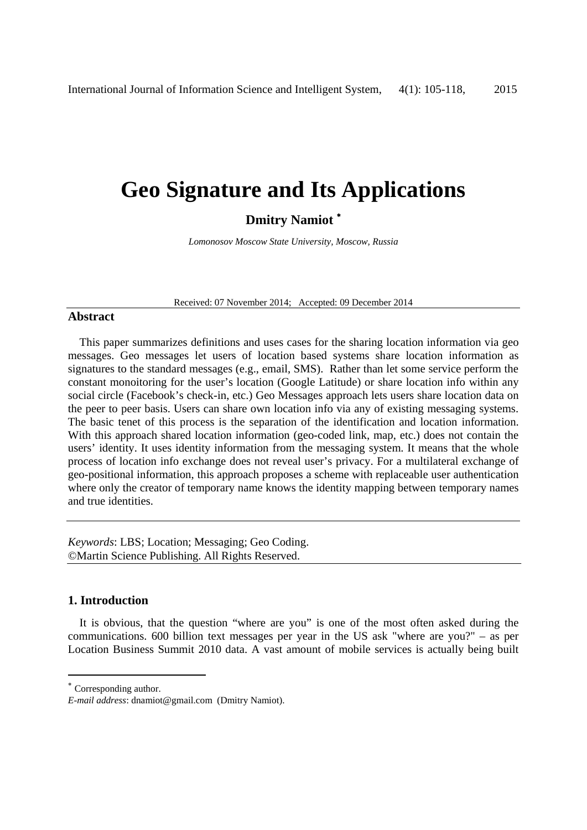# **Geo Signature and Its Applications**

## **Dmitry Namiot** <sup>∗</sup>

*Lomonosov Moscow State University, Moscow, Russia* 

Received: 07 November 2014; Accepted: 09 December 2014

### **Abstract**

This paper summarizes definitions and uses cases for the sharing location information via geo messages. Geo messages let users of location based systems share location information as signatures to the standard messages (e.g., email, SMS). Rather than let some service perform the constant monoitoring for the user's location (Google Latitude) or share location info within any social circle (Facebook's check-in, etc.) Geo Messages approach lets users share location data on the peer to peer basis. Users can share own location info via any of existing messaging systems. The basic tenet of this process is the separation of the identification and location information. With this approach shared location information (geo-coded link, map, etc.) does not contain the users' identity. It uses identity information from the messaging system. It means that the whole process of location info exchange does not reveal user's privacy. For a multilateral exchange of geo-positional information, this approach proposes a scheme with replaceable user authentication where only the creator of temporary name knows the identity mapping between temporary names and true identities.

*Keywords*: LBS; Location; Messaging; Geo Coding. ©Martin Science Publishing. All Rights Reserved.

#### **1. Introduction**

It is obvious, that the question "where are you" is one of the most often asked during the communications. 600 billion text messages per year in the US ask "where are you?" – as per Location Business Summit 2010 data. A vast amount of mobile services is actually being built

-

<sup>∗</sup> Corresponding author.

*E-mail address*: dnamiot@gmail.com (Dmitry Namiot).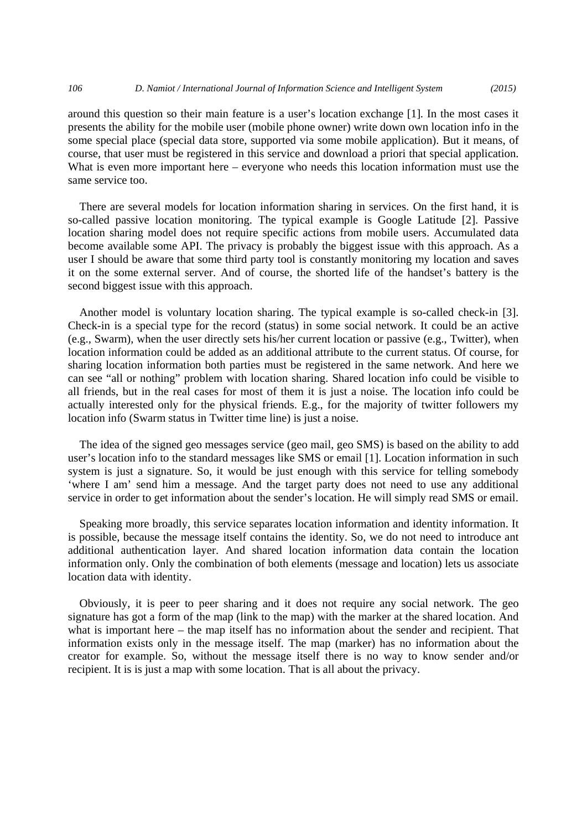around this question so their main feature is a user's location exchange [1]. In the most cases it presents the ability for the mobile user (mobile phone owner) write down own location info in the some special place (special data store, supported via some mobile application). But it means, of course, that user must be registered in this service and download a priori that special application. What is even more important here – everyone who needs this location information must use the same service too.

There are several models for location information sharing in services. On the first hand, it is so-called passive location monitoring. The typical example is Google Latitude [2]. Passive location sharing model does not require specific actions from mobile users. Accumulated data become available some API. The privacy is probably the biggest issue with this approach. As a user I should be aware that some third party tool is constantly monitoring my location and saves it on the some external server. And of course, the shorted life of the handset's battery is the second biggest issue with this approach.

Another model is voluntary location sharing. The typical example is so-called check-in [3]. Check-in is a special type for the record (status) in some social network. It could be an active (e.g., Swarm), when the user directly sets his/her current location or passive (e.g., Twitter), when location information could be added as an additional attribute to the current status. Of course, for sharing location information both parties must be registered in the same network. And here we can see "all or nothing" problem with location sharing. Shared location info could be visible to all friends, but in the real cases for most of them it is just a noise. The location info could be actually interested only for the physical friends. E.g., for the majority of twitter followers my location info (Swarm status in Twitter time line) is just a noise.

The idea of the signed geo messages service (geo mail, geo SMS) is based on the ability to add user's location info to the standard messages like SMS or email [1]. Location information in such system is just a signature. So, it would be just enough with this service for telling somebody 'where I am' send him a message. And the target party does not need to use any additional service in order to get information about the sender's location. He will simply read SMS or email.

Speaking more broadly, this service separates location information and identity information. It is possible, because the message itself contains the identity. So, we do not need to introduce ant additional authentication layer. And shared location information data contain the location information only. Only the combination of both elements (message and location) lets us associate location data with identity.

Obviously, it is peer to peer sharing and it does not require any social network. The geo signature has got a form of the map (link to the map) with the marker at the shared location. And what is important here – the map itself has no information about the sender and recipient. That information exists only in the message itself. The map (marker) has no information about the creator for example. So, without the message itself there is no way to know sender and/or recipient. It is is just a map with some location. That is all about the privacy.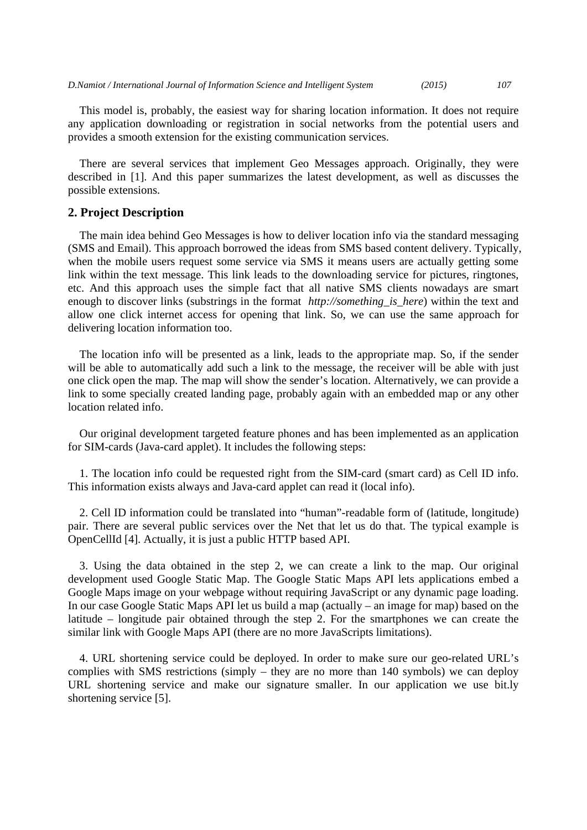*D.Namiot / International Journal of Information Science and Intelligent System (2015) 107*

This model is, probably, the easiest way for sharing location information. It does not require any application downloading or registration in social networks from the potential users and provides a smooth extension for the existing communication services.

There are several services that implement Geo Messages approach. Originally, they were described in [1]. And this paper summarizes the latest development, as well as discusses the possible extensions.

#### **2. Project Description**

The main idea behind Geo Messages is how to deliver location info via the standard messaging (SMS and Email). This approach borrowed the ideas from SMS based content delivery. Typically, when the mobile users request some service via SMS it means users are actually getting some link within the text message. This link leads to the downloading service for pictures, ringtones, etc. And this approach uses the simple fact that all native SMS clients nowadays are smart enough to discover links (substrings in the format *http://something is here*) within the text and allow one click internet access for opening that link. So, we can use the same approach for delivering location information too.

The location info will be presented as a link, leads to the appropriate map. So, if the sender will be able to automatically add such a link to the message, the receiver will be able with just one click open the map. The map will show the sender's location. Alternatively, we can provide a link to some specially created landing page, probably again with an embedded map or any other location related info.

Our original development targeted feature phones and has been implemented as an application for SIM-cards (Java-card applet). It includes the following steps:

1. The location info could be requested right from the SIM-card (smart card) as Cell ID info. This information exists always and Java-card applet can read it (local info).

2. Cell ID information could be translated into "human"-readable form of (latitude, longitude) pair. There are several public services over the Net that let us do that. The typical example is OpenCellId [4]. Actually, it is just a public HTTP based API.

3. Using the data obtained in the step 2, we can create a link to the map. Our original development used Google Static Map. The Google Static Maps API lets applications embed a Google Maps image on your webpage without requiring JavaScript or any dynamic page loading. In our case Google Static Maps API let us build a map (actually – an image for map) based on the latitude – longitude pair obtained through the step 2. For the smartphones we can create the similar link with Google Maps API (there are no more JavaScripts limitations).

4. URL shortening service could be deployed. In order to make sure our geo-related URL's complies with SMS restrictions (simply – they are no more than 140 symbols) we can deploy URL shortening service and make our signature smaller. In our application we use bit.ly shortening service [5].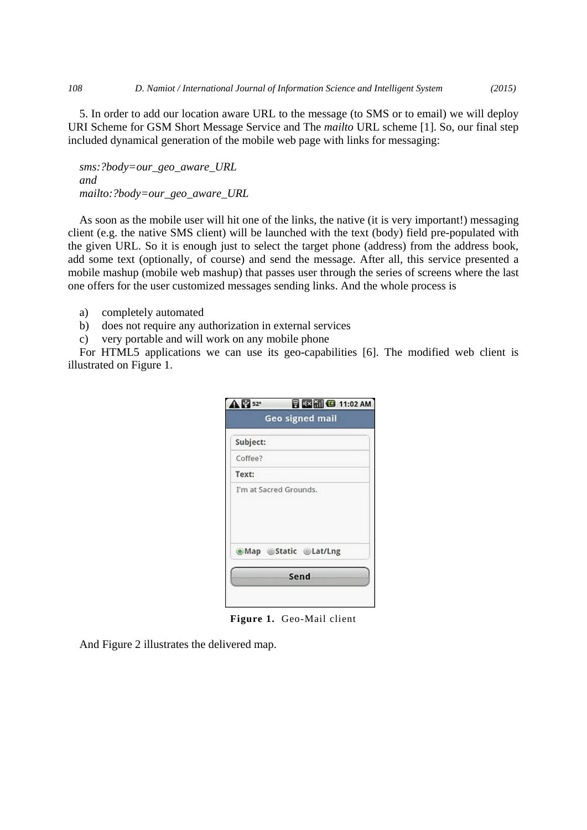5. In order to add our location aware URL to the message (to SMS or to email) we will deploy URI Scheme for GSM Short Message Service and The *mailto* URL scheme [1]. So, our final step included dynamical generation of the mobile web page with links for messaging:

*sms:?body=our\_geo\_aware\_URL and mailto:?body=our\_geo\_aware\_URL* 

As soon as the mobile user will hit one of the links, the native (it is very important!) messaging client (e.g. the native SMS client) will be launched with the text (body) field pre-populated with the given URL. So it is enough just to select the target phone (address) from the address book, add some text (optionally, of course) and send the message. After all, this service presented a mobile mashup (mobile web mashup) that passes user through the series of screens where the last one offers for the user customized messages sending links. And the whole process is

- a) completely automated
- b) does not require any authorization in external services
- c) very portable and will work on any mobile phone

For HTML5 applications we can use its geo-capabilities [6]. The modified web client is illustrated on Figure 1.

| <b>A</b> 2 52° | <b>同图图 (3 11:02 AM</b> )<br><b>Geo signed mail</b> |
|----------------|----------------------------------------------------|
| Subject:       |                                                    |
| Coffee?        |                                                    |
| Text:          |                                                    |
|                | I'm at Sacred Grounds.                             |
|                | .Map Static @Lat/Lng                               |
|                |                                                    |

**Figure 1.** Geo-Mail client

And Figure 2 illustrates the delivered map.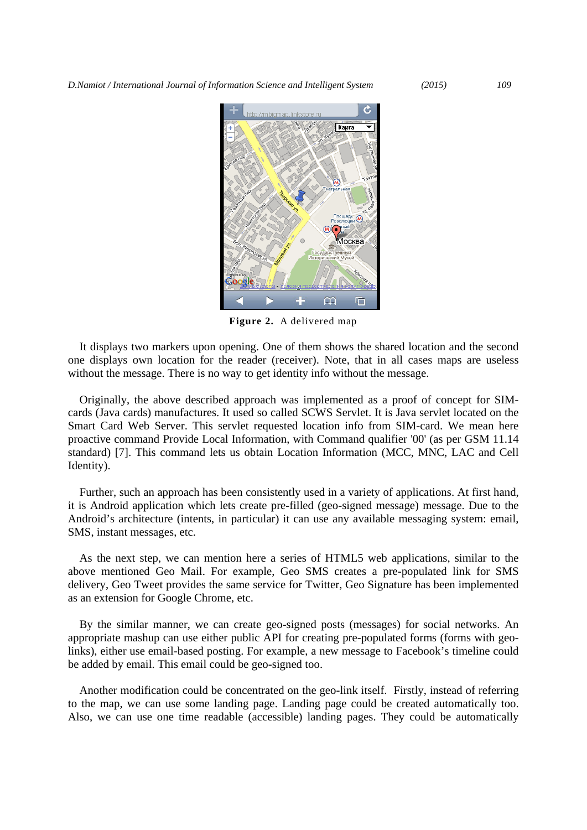*D.Namiot / International Journal of Information Science and Intelligent System (2015) 109*



**Figure 2.** A delivered map

It displays two markers upon opening. One of them shows the shared location and the second one displays own location for the reader (receiver). Note, that in all cases maps are useless without the message. There is no way to get identity info without the message.

Originally, the above described approach was implemented as a proof of concept for SIMcards (Java cards) manufactures. It used so called SCWS Servlet. It is Java servlet located on the Smart Card Web Server. This servlet requested location info from SIM-card. We mean here proactive command Provide Local Information, with Command qualifier '00' (as per GSM 11.14 standard) [7]. This command lets us obtain Location Information (MCC, MNC, LAC and Cell Identity).

Further, such an approach has been consistently used in a variety of applications. At first hand, it is Android application which lets create pre-filled (geo-signed message) message. Due to the Android's architecture (intents, in particular) it can use any available messaging system: email, SMS, instant messages, etc.

As the next step, we can mention here a series of HTML5 web applications, similar to the above mentioned Geo Mail. For example, Geo SMS creates a pre-populated link for SMS delivery, Geo Tweet provides the same service for Twitter, Geo Signature has been implemented as an extension for Google Chrome, etc.

By the similar manner, we can create geo-signed posts (messages) for social networks. An appropriate mashup can use either public API for creating pre-populated forms (forms with geolinks), either use email-based posting. For example, a new message to Facebook's timeline could be added by email. This email could be geo-signed too.

Another modification could be concentrated on the geo-link itself. Firstly, instead of referring to the map, we can use some landing page. Landing page could be created automatically too. Also, we can use one time readable (accessible) landing pages. They could be automatically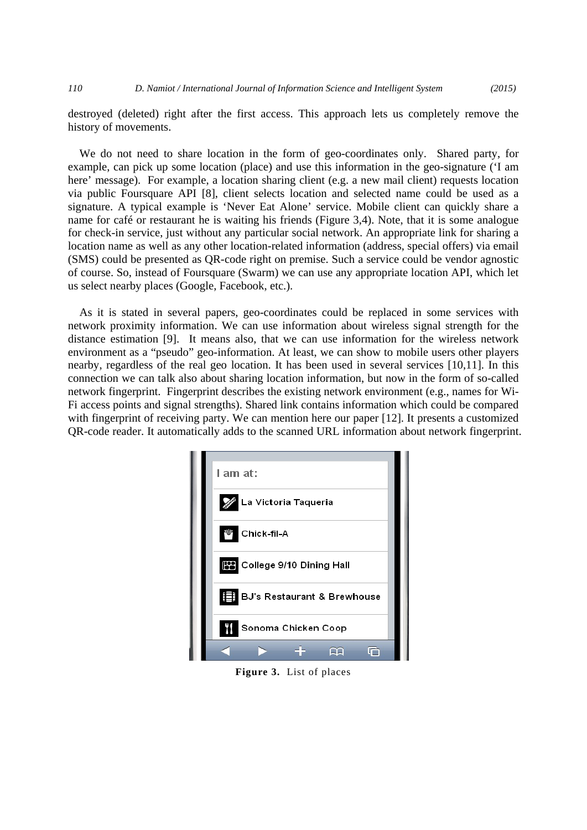destroyed (deleted) right after the first access. This approach lets us completely remove the history of movements.

We do not need to share location in the form of geo-coordinates only. Shared party, for example, can pick up some location (place) and use this information in the geo-signature ('I am here' message). For example, a location sharing client (e.g. a new mail client) requests location via public Foursquare API [8], client selects location and selected name could be used as a signature. A typical example is 'Never Eat Alone' service. Mobile client can quickly share a name for café or restaurant he is waiting his friends (Figure 3,4). Note, that it is some analogue for check-in service, just without any particular social network. An appropriate link for sharing a location name as well as any other location-related information (address, special offers) via email (SMS) could be presented as QR-code right on premise. Such a service could be vendor agnostic of course. So, instead of Foursquare (Swarm) we can use any appropriate location API, which let us select nearby places (Google, Facebook, etc.).

As it is stated in several papers, geo-coordinates could be replaced in some services with network proximity information. We can use information about wireless signal strength for the distance estimation [9]. It means also, that we can use information for the wireless network environment as a "pseudo" geo-information. At least, we can show to mobile users other players nearby, regardless of the real geo location. It has been used in several services [10,11]. In this connection we can talk also about sharing location information, but now in the form of so-called network fingerprint. Fingerprint describes the existing network environment (e.g., names for Wi-Fi access points and signal strengths). Shared link contains information which could be compared with fingerprint of receiving party. We can mention here our paper [12]. It presents a customized QR-code reader. It automatically adds to the scanned URL information about network fingerprint.



**Figure 3.** List of places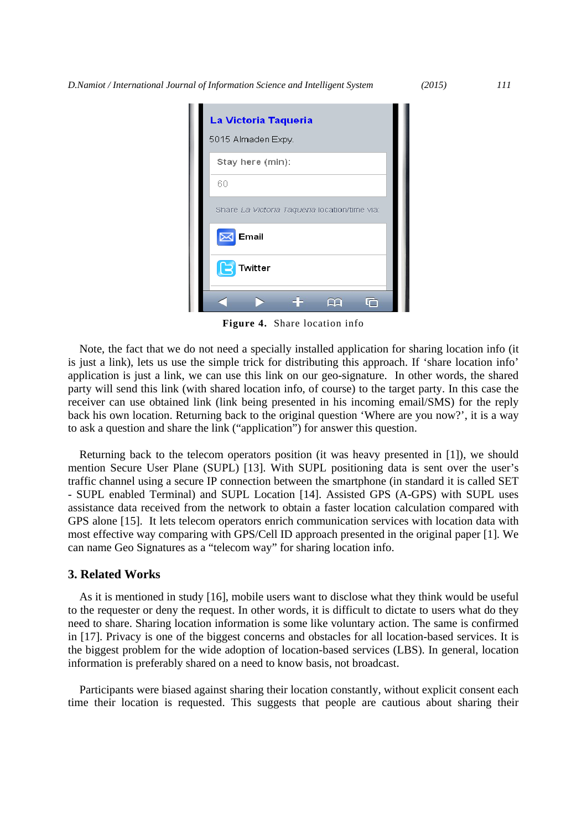| La Victoria Taqueria                          |  |
|-----------------------------------------------|--|
| 5015 Almaden Expy.                            |  |
| Stay here (min):                              |  |
| 60                                            |  |
| Share La Victoria Taqueria location/time via: |  |
| Email<br>ᢂ                                    |  |
| le<br>Twitter                                 |  |
|                                               |  |

**Figure 4.** Share location info

Note, the fact that we do not need a specially installed application for sharing location info (it is just a link), lets us use the simple trick for distributing this approach. If 'share location info' application is just a link, we can use this link on our geo-signature. In other words, the shared party will send this link (with shared location info, of course) to the target party. In this case the receiver can use obtained link (link being presented in his incoming email/SMS) for the reply back his own location. Returning back to the original question 'Where are you now?', it is a way to ask a question and share the link ("application") for answer this question.

Returning back to the telecom operators position (it was heavy presented in [1]), we should mention Secure User Plane (SUPL) [13]. With SUPL positioning data is sent over the user's traffic channel using a secure IP connection between the smartphone (in standard it is called SET - SUPL enabled Terminal) and SUPL Location [14]. Assisted GPS (A-GPS) with SUPL uses assistance data received from the network to obtain a faster location calculation compared with GPS alone [15]. It lets telecom operators enrich communication services with location data with most effective way comparing with GPS/Cell ID approach presented in the original paper [1]. We can name Geo Signatures as a "telecom way" for sharing location info.

#### **3. Related Works**

As it is mentioned in study [16], mobile users want to disclose what they think would be useful to the requester or deny the request. In other words, it is difficult to dictate to users what do they need to share. Sharing location information is some like voluntary action. The same is confirmed in [17]. Privacy is one of the biggest concerns and obstacles for all location-based services. It is the biggest problem for the wide adoption of location-based services (LBS). In general, location information is preferably shared on a need to know basis, not broadcast.

Participants were biased against sharing their location constantly, without explicit consent each time their location is requested. This suggests that people are cautious about sharing their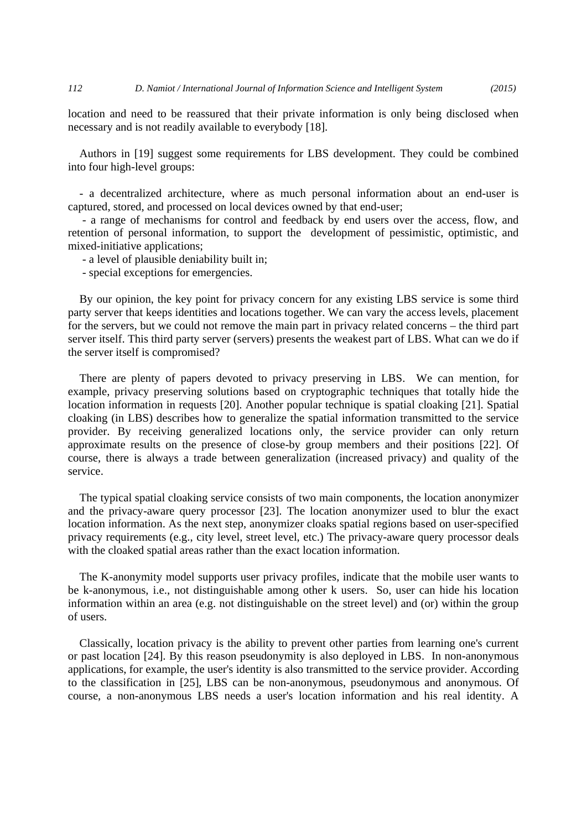location and need to be reassured that their private information is only being disclosed when necessary and is not readily available to everybody [18].

Authors in [19] suggest some requirements for LBS development. They could be combined into four high-level groups:

- a decentralized architecture, where as much personal information about an end-user is captured, stored, and processed on local devices owned by that end-user;

 - a range of mechanisms for control and feedback by end users over the access, flow, and retention of personal information, to support the development of pessimistic, optimistic, and mixed-initiative applications;

- a level of plausible deniability built in;

- special exceptions for emergencies.

By our opinion, the key point for privacy concern for any existing LBS service is some third party server that keeps identities and locations together. We can vary the access levels, placement for the servers, but we could not remove the main part in privacy related concerns – the third part server itself. This third party server (servers) presents the weakest part of LBS. What can we do if the server itself is compromised?

There are plenty of papers devoted to privacy preserving in LBS. We can mention, for example, privacy preserving solutions based on cryptographic techniques that totally hide the location information in requests [20]. Another popular technique is spatial cloaking [21]. Spatial cloaking (in LBS) describes how to generalize the spatial information transmitted to the service provider. By receiving generalized locations only, the service provider can only return approximate results on the presence of close-by group members and their positions [22]. Of course, there is always a trade between generalization (increased privacy) and quality of the service.

The typical spatial cloaking service consists of two main components, the location anonymizer and the privacy-aware query processor [23]. The location anonymizer used to blur the exact location information. As the next step, anonymizer cloaks spatial regions based on user-specified privacy requirements (e.g., city level, street level, etc.) The privacy-aware query processor deals with the cloaked spatial areas rather than the exact location information.

The K-anonymity model supports user privacy profiles, indicate that the mobile user wants to be k-anonymous, i.e., not distinguishable among other k users. So, user can hide his location information within an area (e.g. not distinguishable on the street level) and (or) within the group of users.

Classically, location privacy is the ability to prevent other parties from learning one's current or past location [24]. By this reason pseudonymity is also deployed in LBS. In non-anonymous applications, for example, the user's identity is also transmitted to the service provider. According to the classification in [25], LBS can be non-anonymous, pseudonymous and anonymous. Of course, a non-anonymous LBS needs a user's location information and his real identity. A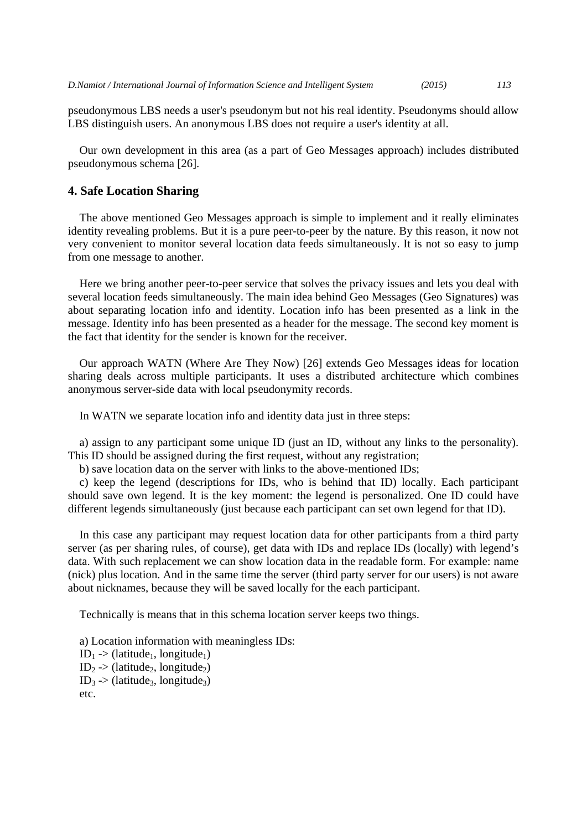pseudonymous LBS needs a user's pseudonym but not his real identity. Pseudonyms should allow LBS distinguish users. An anonymous LBS does not require a user's identity at all.

Our own development in this area (as a part of Geo Messages approach) includes distributed pseudonymous schema [26].

#### **4. Safe Location Sharing**

The above mentioned Geo Messages approach is simple to implement and it really eliminates identity revealing problems. But it is a pure peer-to-peer by the nature. By this reason, it now not very convenient to monitor several location data feeds simultaneously. It is not so easy to jump from one message to another.

Here we bring another peer-to-peer service that solves the privacy issues and lets you deal with several location feeds simultaneously. The main idea behind Geo Messages (Geo Signatures) was about separating location info and identity. Location info has been presented as a link in the message. Identity info has been presented as a header for the message. The second key moment is the fact that identity for the sender is known for the receiver.

Our approach WATN (Where Are They Now) [26] extends Geo Messages ideas for location sharing deals across multiple participants. It uses a distributed architecture which combines anonymous server-side data with local pseudonymity records.

In WATN we separate location info and identity data just in three steps:

a) assign to any participant some unique ID (just an ID, without any links to the personality). This ID should be assigned during the first request, without any registration;

b) save location data on the server with links to the above-mentioned IDs;

c) keep the legend (descriptions for IDs, who is behind that ID) locally. Each participant should save own legend. It is the key moment: the legend is personalized. One ID could have different legends simultaneously (just because each participant can set own legend for that ID).

In this case any participant may request location data for other participants from a third party server (as per sharing rules, of course), get data with IDs and replace IDs (locally) with legend's data. With such replacement we can show location data in the readable form. For example: name (nick) plus location. And in the same time the server (third party server for our users) is not aware about nicknames, because they will be saved locally for the each participant.

Technically is means that in this schema location server keeps two things.

a) Location information with meaningless IDs:  $ID_1$  -> (latitude<sub>1</sub>, longitude<sub>1</sub>)  $ID_2$  -> (latitude<sub>2</sub>, longitude<sub>2</sub>)  $ID_3$  -> (latitude<sub>3</sub>, longitude<sub>3</sub>) etc.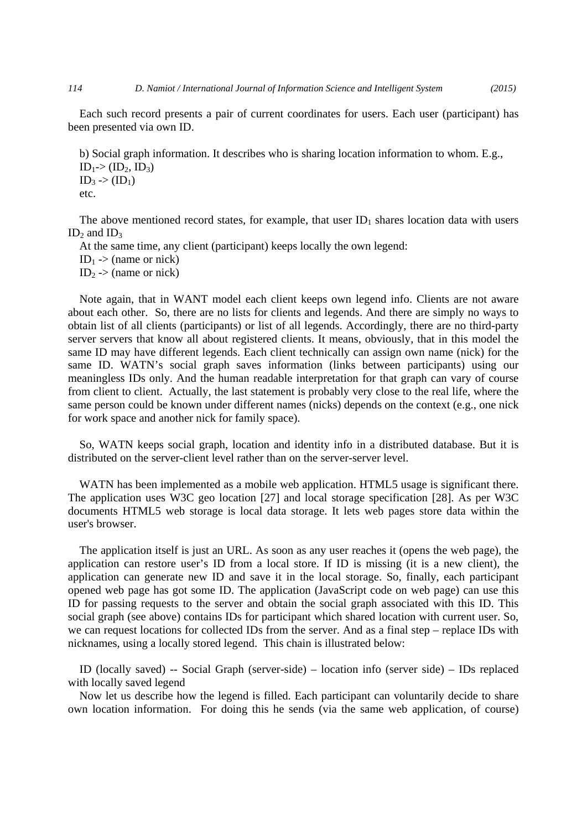Each such record presents a pair of current coordinates for users. Each user (participant) has been presented via own ID.

b) Social graph information. It describes who is sharing location information to whom. E.g.,  $ID_1$  >  $(ID_2, ID_3)$  $ID_3$  ->  $(ID_1)$ etc.

The above mentioned record states, for example, that user  $ID_1$  shares location data with users ID<sub>2</sub> and ID<sub>3</sub>

At the same time, any client (participant) keeps locally the own legend:

ID<sub>1</sub> -> (name or nick)

 $ID_2$  -> (name or nick)

Note again, that in WANT model each client keeps own legend info. Clients are not aware about each other. So, there are no lists for clients and legends. And there are simply no ways to obtain list of all clients (participants) or list of all legends. Accordingly, there are no third-party server servers that know all about registered clients. It means, obviously, that in this model the same ID may have different legends. Each client technically can assign own name (nick) for the same ID. WATN's social graph saves information (links between participants) using our meaningless IDs only. And the human readable interpretation for that graph can vary of course from client to client. Actually, the last statement is probably very close to the real life, where the same person could be known under different names (nicks) depends on the context (e.g., one nick for work space and another nick for family space).

So, WATN keeps social graph, location and identity info in a distributed database. But it is distributed on the server-client level rather than on the server-server level.

WATN has been implemented as a mobile web application. HTML5 usage is significant there. The application uses W3C geo location [27] and local storage specification [28]. As per W3C documents HTML5 web storage is local data storage. It lets web pages store data within the user's browser.

The application itself is just an URL. As soon as any user reaches it (opens the web page), the application can restore user's ID from a local store. If ID is missing (it is a new client), the application can generate new ID and save it in the local storage. So, finally, each participant opened web page has got some ID. The application (JavaScript code on web page) can use this ID for passing requests to the server and obtain the social graph associated with this ID. This social graph (see above) contains IDs for participant which shared location with current user. So, we can request locations for collected IDs from the server. And as a final step – replace IDs with nicknames, using a locally stored legend. This chain is illustrated below:

ID (locally saved) -- Social Graph (server-side) – location info (server side) – IDs replaced with locally saved legend

Now let us describe how the legend is filled. Each participant can voluntarily decide to share own location information. For doing this he sends (via the same web application, of course)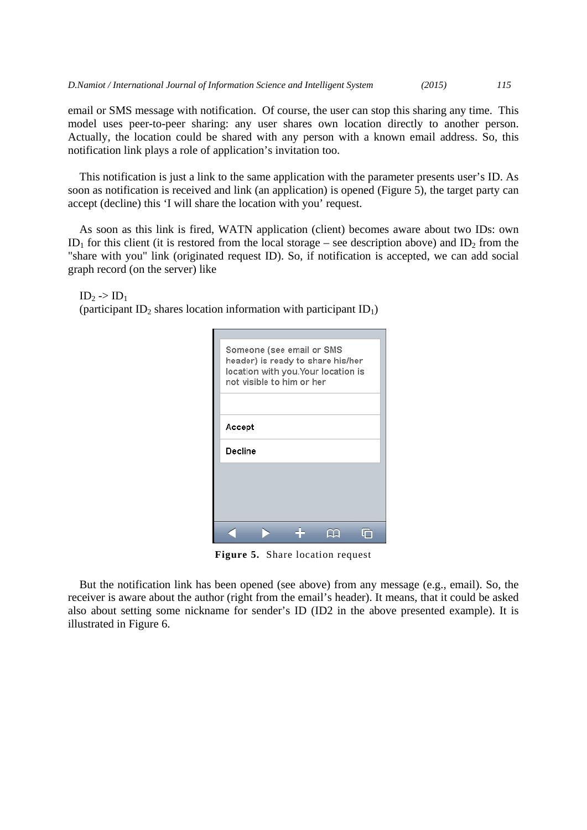email or SMS message with notification. Of course, the user can stop this sharing any time. This model uses peer-to-peer sharing: any user shares own location directly to another person. Actually, the location could be shared with any person with a known email address. So, this notification link plays a role of application's invitation too.

This notification is just a link to the same application with the parameter presents user's ID. As soon as notification is received and link (an application) is opened (Figure 5), the target party can accept (decline) this 'I will share the location with you' request.

As soon as this link is fired, WATN application (client) becomes aware about two IDs: own ID<sub>1</sub> for this client (it is restored from the local storage – see description above) and ID<sub>2</sub> from the "share with you" link (originated request ID). So, if notification is accepted, we can add social graph record (on the server) like

 $ID_2 \rightarrow ID_1$ 

(participant ID<sub>2</sub> shares location information with participant ID<sub>1</sub>)

| Someone (see email or SMS<br>header) is ready to share his/her<br>location with you.Your location is<br>not visible to him or her |
|-----------------------------------------------------------------------------------------------------------------------------------|
| Accept                                                                                                                            |
| Decline                                                                                                                           |
|                                                                                                                                   |
|                                                                                                                                   |
|                                                                                                                                   |
|                                                                                                                                   |

**Figure 5.** Share location request

But the notification link has been opened (see above) from any message (e.g., email). So, the receiver is aware about the author (right from the email's header). It means, that it could be asked also about setting some nickname for sender's ID (ID2 in the above presented example). It is illustrated in Figure 6.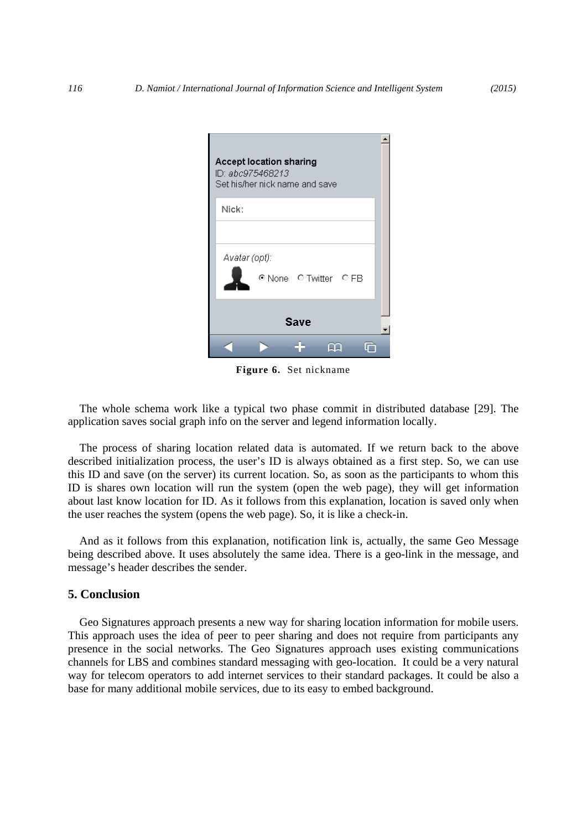| Accept location sharing<br>ID: abc975468213<br>Set his/her nick name and save |  |  |  |  |  |
|-------------------------------------------------------------------------------|--|--|--|--|--|
| Nick:                                                                         |  |  |  |  |  |
| Avatar (opt):<br>© None O Twitter O FB                                        |  |  |  |  |  |
| <b>Save</b>                                                                   |  |  |  |  |  |
|                                                                               |  |  |  |  |  |

**Figure 6.** Set nickname

The whole schema work like a typical two phase commit in distributed database [29]. The application saves social graph info on the server and legend information locally.

The process of sharing location related data is automated. If we return back to the above described initialization process, the user's ID is always obtained as a first step. So, we can use this ID and save (on the server) its current location. So, as soon as the participants to whom this ID is shares own location will run the system (open the web page), they will get information about last know location for ID. As it follows from this explanation, location is saved only when the user reaches the system (opens the web page). So, it is like a check-in.

And as it follows from this explanation, notification link is, actually, the same Geo Message being described above. It uses absolutely the same idea. There is a geo-link in the message, and message's header describes the sender.

#### **5. Conclusion**

Geo Signatures approach presents a new way for sharing location information for mobile users. This approach uses the idea of peer to peer sharing and does not require from participants any presence in the social networks. The Geo Signatures approach uses existing communications channels for LBS and combines standard messaging with geo-location. It could be a very natural way for telecom operators to add internet services to their standard packages. It could be also a base for many additional mobile services, due to its easy to embed background.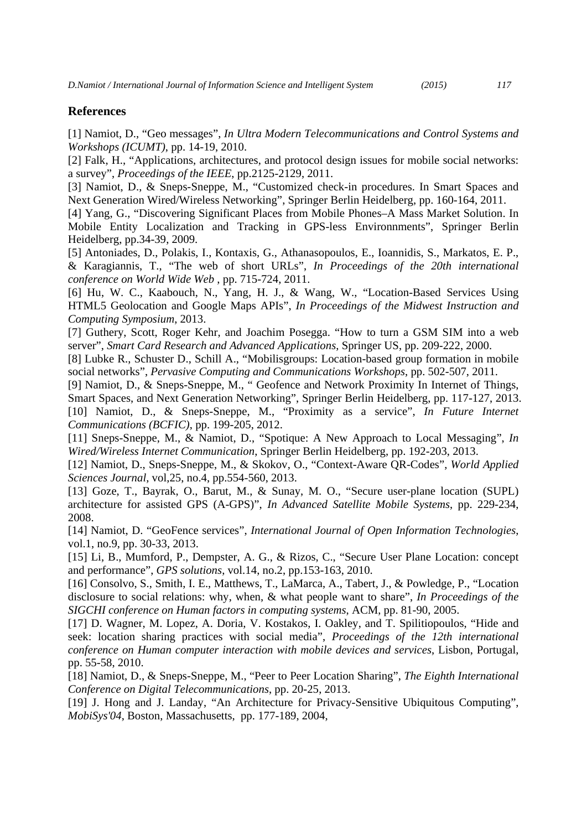#### **References**

[1] Namiot, D., "Geo messages", *In Ultra Modern Telecommunications and Control Systems and Workshops (ICUMT)*, pp. 14-19, 2010.

[2] Falk, H., "Applications, architectures, and protocol design issues for mobile social networks: a survey", *Proceedings of the IEEE*, pp.2125-2129, 2011.

[3] Namiot, D., & Sneps-Sneppe, M., "Customized check-in procedures. In Smart Spaces and Next Generation Wired/Wireless Networking", Springer Berlin Heidelberg, pp. 160-164, 2011.

[4] Yang, G., "Discovering Significant Places from Mobile Phones–A Mass Market Solution. In Mobile Entity Localization and Tracking in GPS-less Environnments", Springer Berlin Heidelberg, pp.34-39, 2009.

[5] Antoniades, D., Polakis, I., Kontaxis, G., Athanasopoulos, E., Ioannidis, S., Markatos, E. P., & Karagiannis, T., "The web of short URLs", *In Proceedings of the 20th international conference on World Wide Web* , pp. 715-724, 2011.

[6] Hu, W. C., Kaabouch, N., Yang, H. J., & Wang, W., "Location-Based Services Using HTML5 Geolocation and Google Maps APIs", *In Proceedings of the Midwest Instruction and Computing Symposium*, 2013.

[7] Guthery, Scott, Roger Kehr, and Joachim Posegga. "How to turn a GSM SIM into a web server", *Smart Card Research and Advanced Applications*, Springer US, pp. 209-222, 2000.

[8] Lubke R., Schuster D., Schill A., "Mobilisgroups: Location-based group formation in mobile social networks", *Pervasive Computing and Communications Workshops*, pp. 502-507, 2011.

[9] Namiot, D., & Sneps-Sneppe, M., " Geofence and Network Proximity In Internet of Things, Smart Spaces, and Next Generation Networking", Springer Berlin Heidelberg, pp. 117-127, 2013. [10] Namiot, D., & Sneps-Sneppe, M., "Proximity as a service", *In Future Internet Communications (BCFIC)*, pp. 199-205, 2012.

[11] Sneps-Sneppe, M., & Namiot, D., "Spotique: A New Approach to Local Messaging", *In Wired/Wireless Internet Communication*, Springer Berlin Heidelberg, pp. 192-203, 2013.

[12] Namiot, D., Sneps-Sneppe, M., & Skokov, O., "Context-Aware QR-Codes", *World Applied Sciences Journal*, vol,25, no.4, pp.554-560, 2013.

[13] Goze, T., Bayrak, O., Barut, M., & Sunay, M. O., "Secure user-plane location (SUPL) architecture for assisted GPS (A-GPS)", *In Advanced Satellite Mobile Systems*, pp. 229-234, 2008.

[14] Namiot, D. "GeoFence services", *International Journal of Open Information Technologies*, vol.1, no.9, pp. 30-33, 2013.

[15] Li, B., Mumford, P., Dempster, A. G., & Rizos, C., "Secure User Plane Location: concept and performance", *GPS solutions*, vol.14, no.2, pp.153-163, 2010.

[16] Consolvo, S., Smith, I. E., Matthews, T., LaMarca, A., Tabert, J., & Powledge, P., "Location disclosure to social relations: why, when, & what people want to share", *In Proceedings of the SIGCHI conference on Human factors in computing systems*, ACM, pp. 81-90, 2005.

[17] D. Wagner, M. Lopez, A. Doria, V. Kostakos, I. Oakley, and T. Spilitiopoulos, "Hide and seek: location sharing practices with social media", *Proceedings of the 12th international conference on Human computer interaction with mobile devices and services*, Lisbon, Portugal, pp. 55-58, 2010.

[18] Namiot, D., & Sneps-Sneppe, M., "Peer to Peer Location Sharing", *The Eighth International Conference on Digital Telecommunications*, pp. 20-25, 2013.

[19] J. Hong and J. Landay, "An Architecture for Privacy-Sensitive Ubiquitous Computing", *MobiSys'04*, Boston, Massachusetts, pp. 177-189, 2004,